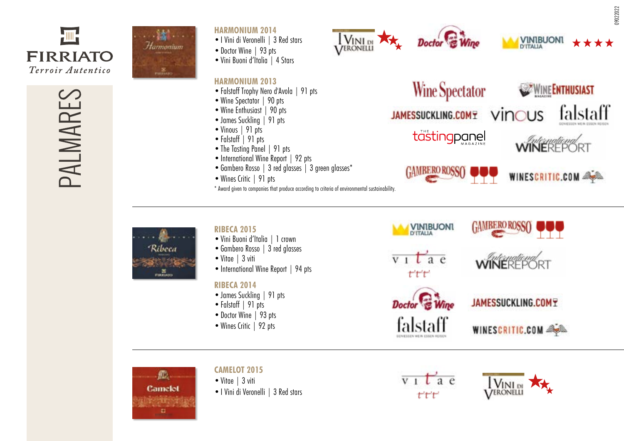

PALMARES



#### **HARMONIUM 2014**

- •I Vini di Veronelli | 3 Red stars
- Doctor Wine | 93 pts
- •Vini Buoni d'Italia | 4 Stars

## **HARMONIUM 2013**

- •Falstaff Trophy Nero d'Avola | 91 pts
- Wine Spectator | 90 pts
- Wine Enthusiast | 90 pts
- James Suckling | 91 pts
- Vinous | 91 pts • Falstaff | 91 pts
- The Tasting Panel | 91 pts
- International Wine Report | 92 pts
- Gambero Rosso | 3 red glasses | 3 green glasses\*
- Wines Critic | 91 pts
- \* Award given to companies that produce according to criteria of environmental sustainability.

VERONELLI



**VINIBUONI** 

\*Ribeca PIRALAJO

#### **RIBECA 2015**

- •Vini Buoni d'Italia | 1 crown
- Gambero Rosso | 3 red glasses
- •Vitae | 3 viti
- International Wine Report | 94 pts

# **RIBECA 2014**

- •James Suckling | 91 pts •Falstaff | 91 pts
- 
- Doctor Wine | 93 pts
- Wines Critic | 92 pts





**GAMBERO ROSS** 



JAMESSUCKLING.COMY

WINESCRITIC.COM



# **CAMELOT 2015**

- •Vitae | 3 viti
- •I Vini di Veronelli | 3 Red stars





\*\*\*\*

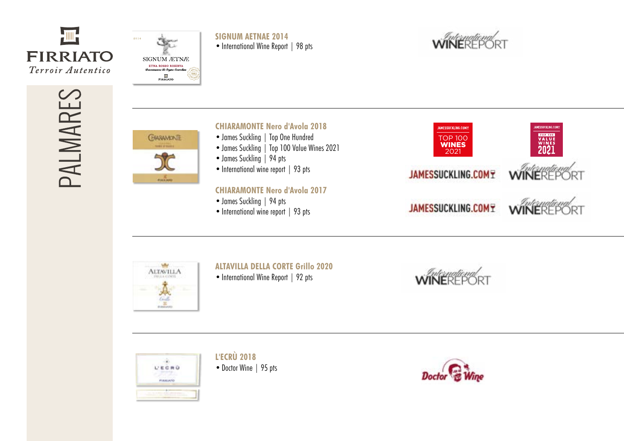



**SIGNUM AETNAE 2014** • International Wine Report | 98 pts



PALMARES



## **CHIARAMONTE Nero d'Avola 2018**

- •James Suckling | Top One Hundred
- •James Suckling | Top 100 Value Wines 2021
- James Suckling | 94 pts
- International wine report | 93 pts

## **CHIARAMONTE Nero d'Avola 2017**

- •James Suckling | 94 pts
- International wine report | 93 pts





#### **ALTAVILLA DELLA CORTE Grillo 2020**

• International Wine Report | 92 pts





**L'ECRÙ 2018** • Doctor Wine | 95 pts

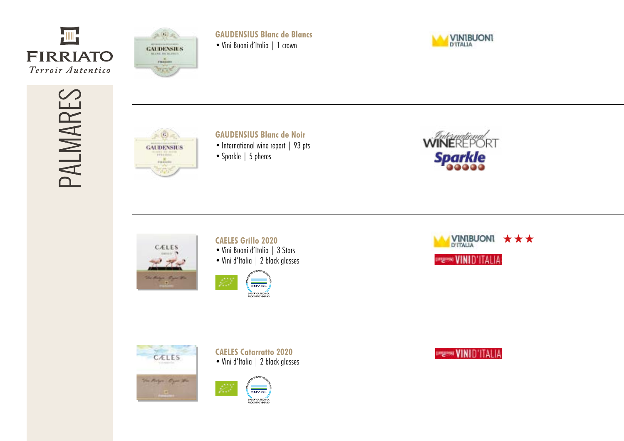



**GAUDENSIUS Blanc de Blancs** •Vini Buoni d'Italia | 1 crown



PALMARES



# **GAUDENSIUS Blanc de Noir**

- International wine report | 93 pts
- Sparkle | 5 pheres





## **CAELES Grillo 2020**

- •Vini Buoni d'Italia | 3 Stars
- •Vini d'Italia | 2 black glasses











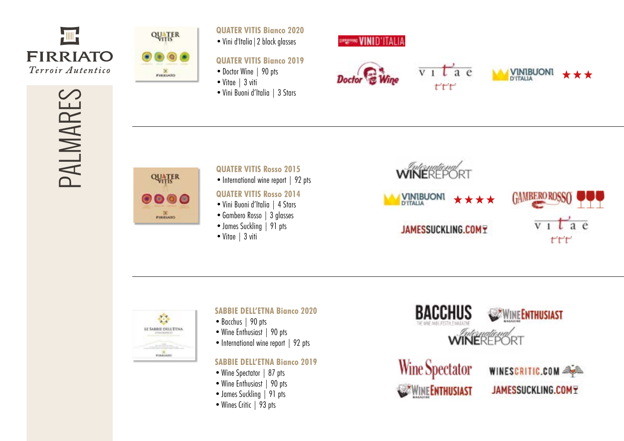

PALMARES



**QUATER VITIS Bianco 2020**

•Vini d'Italia|2 black glasses

# **QUATER VITIS Bianco 2019**

- Doctor Wine | 90 pts
- Vitae | 3 viti
- •Vini Buoni d'Italia | 3 Stars









 $t^{\prime}t^{\prime}t^{\prime}$ 



•Vitae | 3 viti



## **SABBIE DELL'ETNA Bianco 2020**

- •Bacchus | 90 pts
- Wine Enthusiast | 90 pts
- International wine report | 92 pts

# **SABBIE DELL'ETNA Bianco 2019**

- Wine Spectator | 87 pts
- Wine Enthusiast | 90 pts
- James Suckling | 91 pts
- Wines Critic | 93 pts





WINESCRITIC.COM **JAMESSUCKLING.COMY**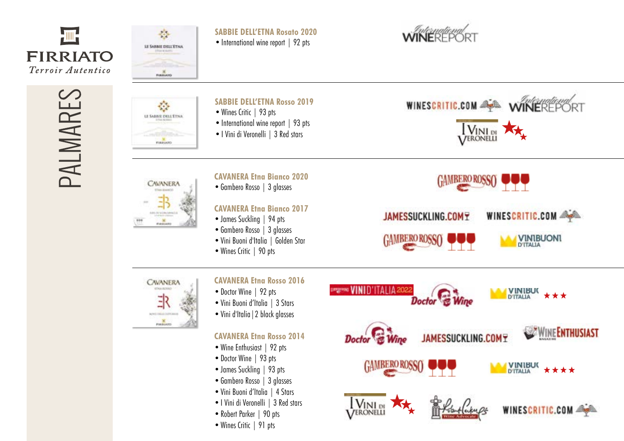